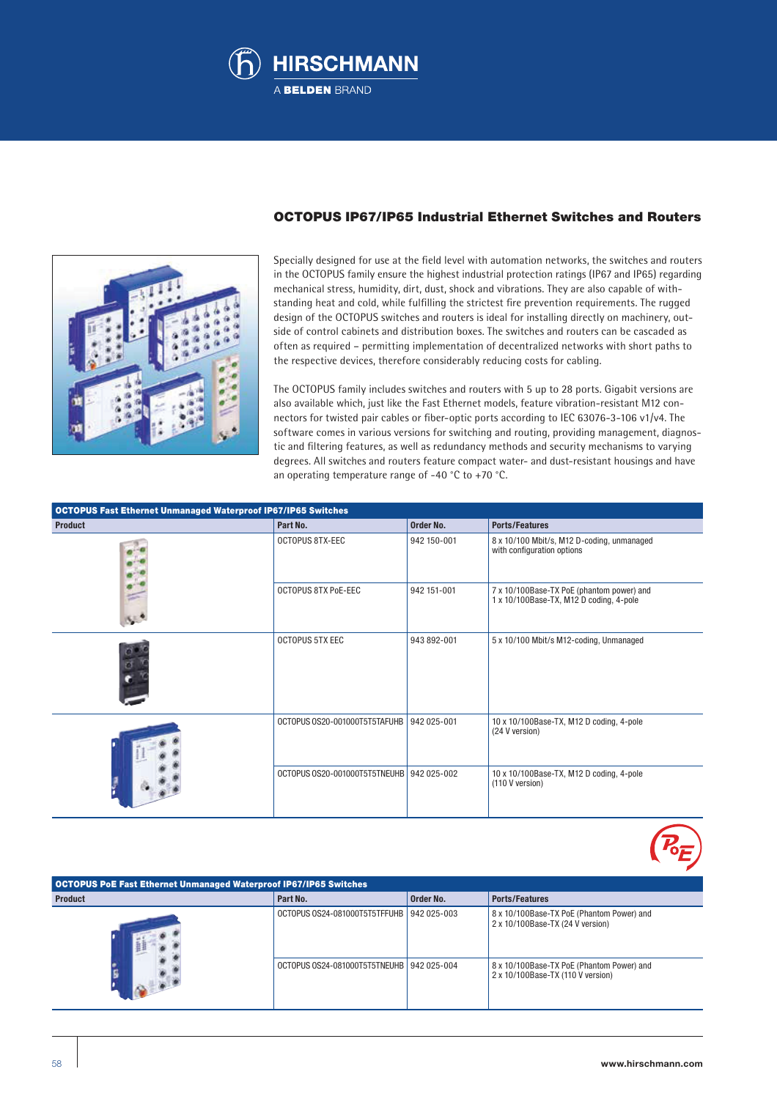



### OCTOPUS IP67/IP65 Industrial Ethernet Switches and Routers

Specially designed for use at the field level with automation networks, the switches and routers in the OCTOPUS family ensure the highest industrial protection ratings (IP67 and IP65) regarding mechanical stress, humidity, dirt, dust, shock and vibrations. They are also capable of withstanding heat and cold, while fulfilling the strictest fire prevention requirements. The rugged design of the OCTOPUS switches and routers is ideal for installing directly on machinery, outside of control cabinets and distribution boxes. The switches and routers can be cascaded as often as required – permitting implementation of decentralized networks with short paths to the respective devices, therefore considerably reducing costs for cabling.

The OCTOPUS family includes switches and routers with 5 up to 28 ports. Gigabit versions are also available which, just like the Fast Ethernet models, feature vibration-resistant M12 connectors for twisted pair cables or fiber-optic ports according to IEC 63076-3-106 v1/v4. The software comes in various versions for switching and routing, providing management, diagnostic and filtering features, as well as redundancy methods and security mechanisms to varying degrees. All switches and routers feature compact water- and dust-resistant housings and have an operating temperature range of -40 °C to +70 °C.

| <b>OCTOPUS Fast Ethernet Unmanaged Waterproof IP67/IP65 Switches</b> |                                           |             |                                                                                      |  |  |  |  |  |
|----------------------------------------------------------------------|-------------------------------------------|-------------|--------------------------------------------------------------------------------------|--|--|--|--|--|
| <b>Product</b>                                                       | Part No.                                  | Order No.   | <b>Ports/Features</b>                                                                |  |  |  |  |  |
|                                                                      | OCTOPUS 8TX-EEC                           | 942 150-001 | 8 x 10/100 Mbit/s, M12 D-coding, unmanaged<br>with configuration options             |  |  |  |  |  |
|                                                                      | <b>OCTOPUS 8TX PoE-EEC</b>                | 942 151-001 | 7 x 10/100Base-TX PoE (phantom power) and<br>1 x 10/100Base-TX, M12 D coding, 4-pole |  |  |  |  |  |
|                                                                      | <b>OCTOPUS 5TX EEC</b>                    | 943 892-001 | 5 x 10/100 Mbit/s M12-coding, Unmanaged                                              |  |  |  |  |  |
|                                                                      | OCTOPUS 0S20-001000T5T5TAFUHB             | 942 025-001 | 10 x 10/100Base-TX, M12 D coding, 4-pole<br>(24 V version)                           |  |  |  |  |  |
|                                                                      | OCTOPUS 0S20-001000T5T5TNEUHB 942 025-002 |             | 10 x 10/100Base-TX, M12 D coding, 4-pole<br>(110 V version)                          |  |  |  |  |  |

OCTOPUS PoE Fast Ethernet Unmanaged Waterproof IP67/IP65 Switches **Product Part No. Part No. 2016 Part No. 2016 Part No. 2016 Part No. 2016 Parts/Features** OCTOPUS OS24-081000T5T5TFFUHB 942 025-003 8 x 10/100Base-TX PoE (Phantom Power) and 2 x 10/100Base-TX (24 V version) OCTOPUS 0S24-081000T5T5TNEUHB 942 025-004 8 x 10/100Base-TX PoE (Phantom Power) and 2 x 10/100Base-TX (110 V version)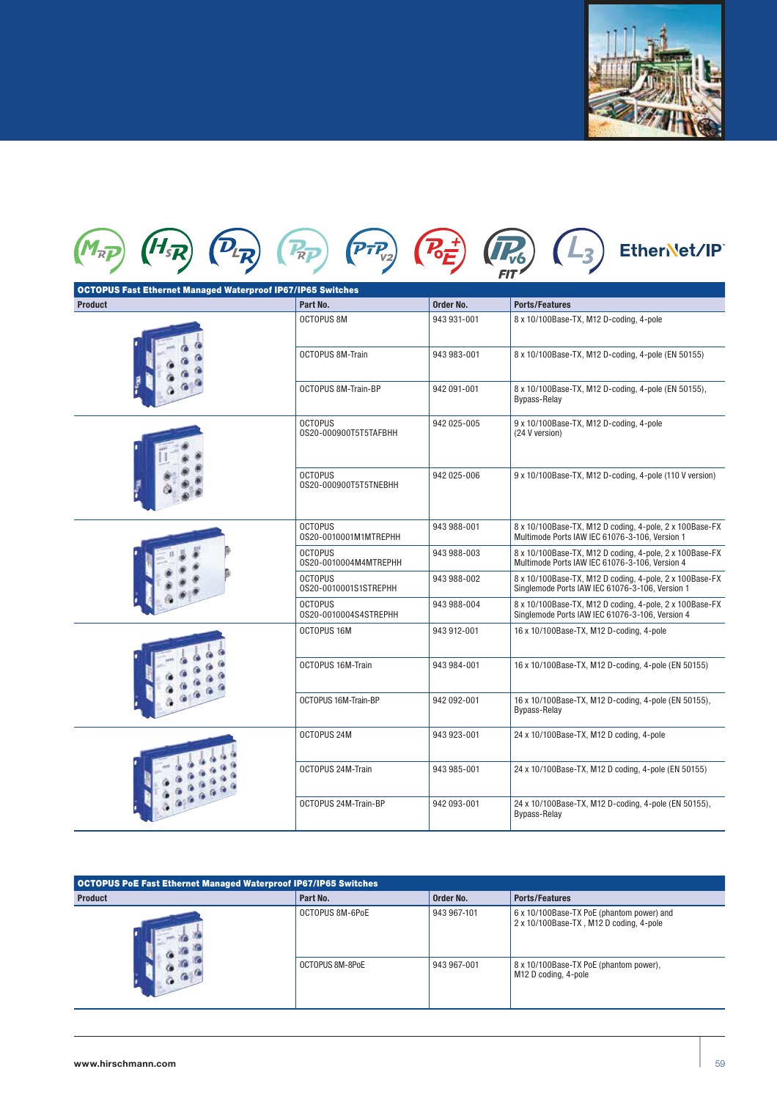

|                | <b>OCTOPUS Fast Ethernet Managed Waterproof IP67/IP65 Switches</b> |             |                                                                                                            |
|----------------|--------------------------------------------------------------------|-------------|------------------------------------------------------------------------------------------------------------|
| <b>Product</b> | Part No.                                                           | Order No.   | <b>Ports/Features</b>                                                                                      |
|                | OCTOPUS 8M                                                         | 943 931-001 | 8 x 10/100Base-TX, M12 D-coding, 4-pole                                                                    |
|                | <b>OCTOPUS 8M-Train</b>                                            | 943 983-001 | 8 x 10/100Base-TX, M12 D-coding, 4-pole (EN 50155)                                                         |
|                | OCTOPUS 8M-Train-BP                                                | 942 091-001 | 8 x 10/100Base-TX, M12 D-coding, 4-pole (EN 50155),<br><b>Bypass-Relay</b>                                 |
|                | <b>OCTOPUS</b><br>0S20-000900T5T5TAFBHH                            | 942 025-005 | 9 x 10/100Base-TX, M12 D-coding, 4-pole<br>(24 V version)                                                  |
|                | <b>OCTOPUS</b><br>0S20-000900T5T5TNEBHH                            | 942 025-006 | 9 x 10/100Base-TX, M12 D-coding, 4-pole (110 V version)                                                    |
|                | <b>OCTOPUS</b><br>0S20-0010001M1MTREPHH                            | 943 988-001 | 8 x 10/100Base-TX, M12 D coding, 4-pole, 2 x 100Base-FX<br>Multimode Ports IAW IEC 61076-3-106, Version 1  |
|                | <b>OCTOPUS</b><br>0S20-0010004M4MTREPHH                            | 943 988-003 | 8 x 10/100Base-TX, M12 D coding, 4-pole, 2 x 100Base-FX<br>Multimode Ports IAW IEC 61076-3-106, Version 4  |
|                | <b>OCTOPUS</b><br>0S20-0010001S1STREPHH                            | 943 988-002 | 8 x 10/100Base-TX, M12 D coding, 4-pole, 2 x 100Base-FX<br>Singlemode Ports IAW IEC 61076-3-106, Version 1 |
|                | <b>OCTOPUS</b><br>0S20-0010004S4STREPHH                            | 943 988-004 | 8 x 10/100Base-TX, M12 D coding, 4-pole, 2 x 100Base-FX<br>Singlemode Ports IAW IEC 61076-3-106, Version 4 |
|                | OCTOPUS 16M                                                        | 943 912-001 | 16 x 10/100Base-TX, M12 D-coding, 4-pole                                                                   |
|                | OCTOPUS 16M-Train                                                  | 943 984-001 | 16 x 10/100Base-TX, M12 D-coding, 4-pole (EN 50155)                                                        |
|                | OCTOPUS 16M-Train-BP                                               | 942 092-001 | 16 x 10/100Base-TX, M12 D-coding, 4-pole (EN 50155),<br><b>Bypass-Relay</b>                                |
|                | OCTOPUS 24M                                                        | 943 923-001 | 24 x 10/100Base-TX, M12 D coding, 4-pole                                                                   |
|                | OCTOPUS 24M-Train                                                  | 943 985-001 | 24 x 10/100Base-TX, M12 D coding, 4-pole (EN 50155)                                                        |
|                | OCTOPUS 24M-Train-BP                                               | 942 093-001 | 24 x 10/100Base-TX, M12 D-coding, 4-pole (EN 50155),<br><b>Bypass-Relay</b>                                |

| OCTOPUS PoE Fast Ethernet Managed Waterproof IP67/IP65 Switches |                 |             |                                                                                      |  |  |  |  |  |  |
|-----------------------------------------------------------------|-----------------|-------------|--------------------------------------------------------------------------------------|--|--|--|--|--|--|
| <b>Product</b>                                                  | Part No.        | Order No.   | <b>Ports/Features</b>                                                                |  |  |  |  |  |  |
|                                                                 | OCTOPUS 8M-6PoE | 943 967-101 | 6 x 10/100Base-TX PoE (phantom power) and<br>2 x 10/100Base-TX, M12 D coding, 4-pole |  |  |  |  |  |  |
|                                                                 | OCTOPUS 8M-8PoE | 943 967-001 | 8 x 10/100Base-TX PoE (phantom power),<br>M12 D coding, 4-pole                       |  |  |  |  |  |  |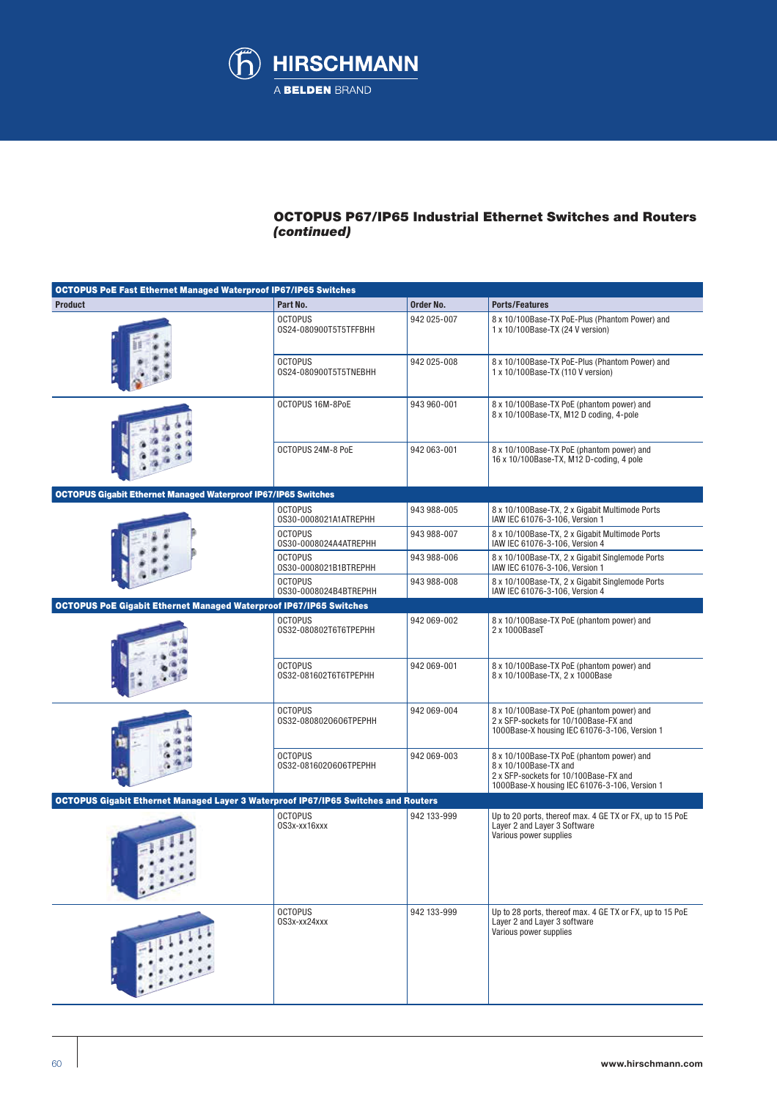

# OCTOPUS P67/IP65 Industrial Ethernet Switches and Routers *(continued)*

| <b>OCTOPUS PoE Fast Ethernet Managed Waterproof IP67/IP65 Switches</b>                    |                                         |                                                                                       |                                                                                                                                                              |
|-------------------------------------------------------------------------------------------|-----------------------------------------|---------------------------------------------------------------------------------------|--------------------------------------------------------------------------------------------------------------------------------------------------------------|
| <b>Product</b>                                                                            | Part No.                                | Order No.                                                                             | <b>Ports/Features</b>                                                                                                                                        |
|                                                                                           | <b>OCTOPUS</b><br>0S24-080900T5T5TFFBHH | 942 025-007                                                                           | 8 x 10/100Base-TX PoE-Plus (Phantom Power) and<br>1 x 10/100Base-TX (24 V version)                                                                           |
|                                                                                           | <b>OCTOPUS</b><br>0S24-080900T5T5TNEBHH | 942 025-008                                                                           | 8 x 10/100Base-TX PoE-Plus (Phantom Power) and<br>1 x 10/100Base-TX (110 V version)                                                                          |
|                                                                                           | OCTOPUS 16M-8PoE                        | 943 960-001                                                                           | 8 x 10/100Base-TX PoE (phantom power) and<br>8 x 10/100Base-TX, M12 D coding, 4-pole                                                                         |
|                                                                                           | OCTOPUS 24M-8 PoE                       | 8 x 10/100Base-TX PoE (phantom power) and<br>16 x 10/100Base-TX, M12 D-coding, 4 pole |                                                                                                                                                              |
| <b>OCTOPUS Gigabit Ethernet Managed Waterproof IP67/IP65 Switches</b>                     |                                         |                                                                                       |                                                                                                                                                              |
|                                                                                           | <b>OCTOPUS</b><br>0S30-0008021A1ATREPHH | 943 988-005                                                                           | 8 x 10/100Base-TX, 2 x Gigabit Multimode Ports<br>IAW IEC 61076-3-106, Version 1                                                                             |
|                                                                                           | <b>OCTOPUS</b><br>0S30-0008024A4ATREPHH | 943 988-007                                                                           | 8 x 10/100Base-TX, 2 x Gigabit Multimode Ports<br>IAW IEC 61076-3-106, Version 4                                                                             |
|                                                                                           | <b>OCTOPUS</b><br>0S30-0008021B1BTREPHH | 943 988-006                                                                           | 8 x 10/100Base-TX, 2 x Gigabit Singlemode Ports<br>IAW IEC 61076-3-106, Version 1                                                                            |
|                                                                                           | <b>OCTOPUS</b><br>0S30-0008024B4BTREPHH | 943 988-008                                                                           | 8 x 10/100Base-TX, 2 x Gigabit Singlemode Ports<br>IAW IEC 61076-3-106, Version 4                                                                            |
| <b>OCTOPUS PoE Gigabit Ethernet Managed Waterproof IP67/IP65 Switches</b>                 |                                         |                                                                                       |                                                                                                                                                              |
|                                                                                           | <b>OCTOPUS</b><br>0S32-080802T6T6TPEPHH | 942 069-002                                                                           | 8 x 10/100Base-TX PoE (phantom power) and<br>2 x 1000BaseT                                                                                                   |
|                                                                                           | <b>OCTOPUS</b><br>0S32-081602T6T6TPEPHH | 942 069-001                                                                           | 8 x 10/100Base-TX PoE (phantom power) and<br>8 x 10/100Base-TX, 2 x 1000Base                                                                                 |
|                                                                                           | <b>OCTOPUS</b><br>0S32-0808020606TPEPHH | 942 069-004                                                                           | 8 x 10/100Base-TX PoE (phantom power) and<br>2 x SFP-sockets for 10/100Base-FX and<br>1000Base-X housing IEC 61076-3-106, Version 1                          |
|                                                                                           | <b>OCTOPUS</b><br>0S32-0816020606TPEPHH | 942 069-003                                                                           | 8 x 10/100Base-TX PoE (phantom power) and<br>8 x 10/100Base-TX and<br>2 x SFP-sockets for 10/100Base-FX and<br>1000Base-X housing IEC 61076-3-106, Version 1 |
| <b>OCTOPUS Gigabit Ethernet Managed Layer 3 Waterproof IP67/IP65 Switches and Routers</b> |                                         |                                                                                       |                                                                                                                                                              |
|                                                                                           | <b>OCTOPUS</b><br>0S3x-xx16xxx          | 942 133-999                                                                           | Up to 20 ports, thereof max. 4 GE TX or FX, up to 15 PoE<br>Layer 2 and Layer 3 Software<br>Various power supplies                                           |
|                                                                                           | <b>OCTOPUS</b><br>0S3x-xx24xxx          | 942 133-999                                                                           | Up to 28 ports, thereof max. 4 GE TX or FX, up to 15 PoE<br>Layer 2 and Layer 3 software<br>Various power supplies                                           |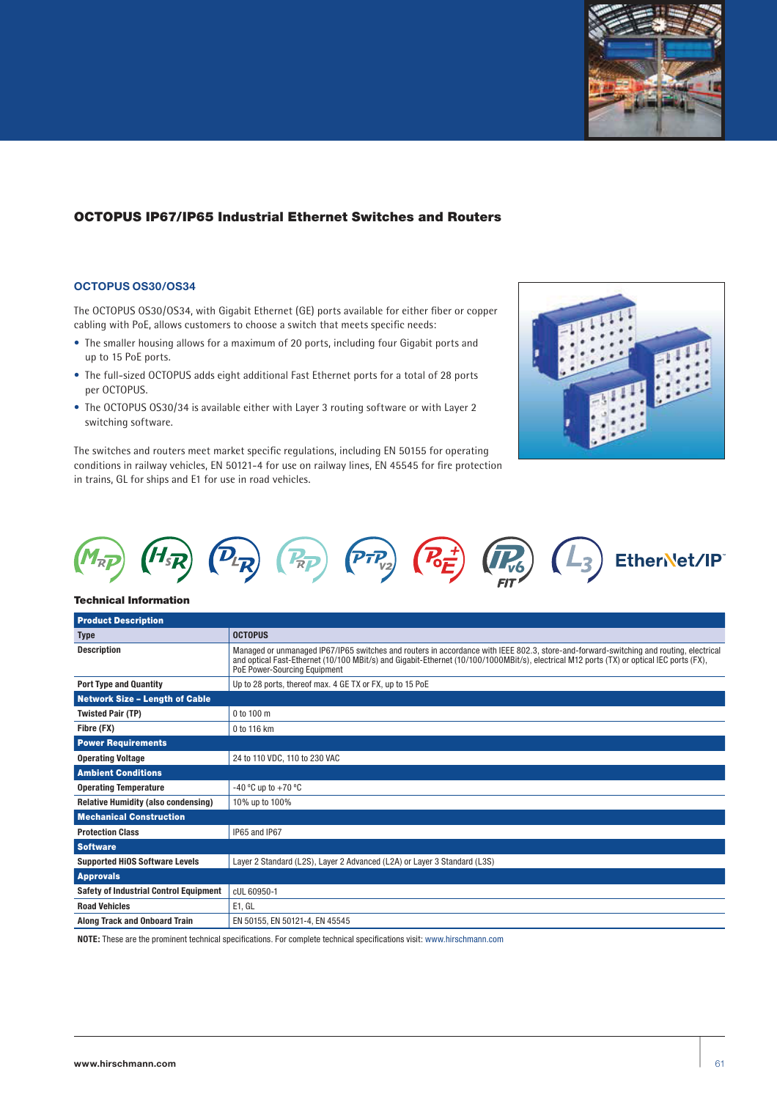

## OCTOPUS IP67/IP65 Industrial Ethernet Switches and Routers

### **OCTOPUS OS30/OS34**

The OCTOPUS OS30/OS34, with Gigabit Ethernet (GE) ports available for either fiber or copper cabling with PoE, allows customers to choose a switch that meets specific needs:

- The smaller housing allows for a maximum of 20 ports, including four Gigabit ports and up to 15 PoE ports.
- The full-sized OCTOPUS adds eight additional Fast Ethernet ports for a total of 28 ports per OCTOPUS.
- The OCTOPUS OS30/34 is available either with Layer 3 routing software or with Layer 2 switching software.

The switches and routers meet market specific regulations, including EN 50155 for operating conditions in railway vehicles, EN 50121-4 for use on railway lines, EN 45545 for fire protection in trains, GL for ships and E1 for use in road vehicles.





#### Technical Information

| <b>Product Description</b>                    |                                                                                                                                                                                                                                                                                                                    |
|-----------------------------------------------|--------------------------------------------------------------------------------------------------------------------------------------------------------------------------------------------------------------------------------------------------------------------------------------------------------------------|
| <b>Type</b>                                   | <b>OCTOPUS</b>                                                                                                                                                                                                                                                                                                     |
| <b>Description</b>                            | Managed or unmanaged IP67/IP65 switches and routers in accordance with IEEE 802.3, store-and-forward-switching and routing, electrical<br>and optical Fast-Ethernet (10/100 MBit/s) and Gigabit-Ethernet (10/100/1000MBit/s), electrical M12 ports (TX) or optical IEC ports (FX),<br>PoE Power-Sourcing Equipment |
| <b>Port Type and Quantity</b>                 | Up to 28 ports, thereof max. 4 GE TX or FX, up to 15 PoE                                                                                                                                                                                                                                                           |
| <b>Network Size - Length of Cable</b>         |                                                                                                                                                                                                                                                                                                                    |
| <b>Twisted Pair (TP)</b>                      | $0$ to 100 m                                                                                                                                                                                                                                                                                                       |
| Fibre (FX)                                    | 0 to 116 km                                                                                                                                                                                                                                                                                                        |
| <b>Power Requirements</b>                     |                                                                                                                                                                                                                                                                                                                    |
| <b>Operating Voltage</b>                      | 24 to 110 VDC, 110 to 230 VAC                                                                                                                                                                                                                                                                                      |
| <b>Ambient Conditions</b>                     |                                                                                                                                                                                                                                                                                                                    |
| <b>Operating Temperature</b>                  | -40 °C up to $+70$ °C                                                                                                                                                                                                                                                                                              |
| <b>Relative Humidity (also condensing)</b>    | 10% up to 100%                                                                                                                                                                                                                                                                                                     |
| <b>Mechanical Construction</b>                |                                                                                                                                                                                                                                                                                                                    |
| <b>Protection Class</b>                       | IP65 and IP67                                                                                                                                                                                                                                                                                                      |
| <b>Software</b>                               |                                                                                                                                                                                                                                                                                                                    |
| <b>Supported HiOS Software Levels</b>         | Layer 2 Standard (L2S), Layer 2 Advanced (L2A) or Layer 3 Standard (L3S)                                                                                                                                                                                                                                           |
| <b>Approvals</b>                              |                                                                                                                                                                                                                                                                                                                    |
| <b>Safety of Industrial Control Equipment</b> | cUL 60950-1                                                                                                                                                                                                                                                                                                        |
| <b>Road Vehicles</b>                          | E1, GL                                                                                                                                                                                                                                                                                                             |
| <b>Along Track and Onboard Train</b>          | EN 50155, EN 50121-4, EN 45545                                                                                                                                                                                                                                                                                     |

**NOTE:** These are the prominent technical specifications. For complete technical specifications visit: www.hirschmann.com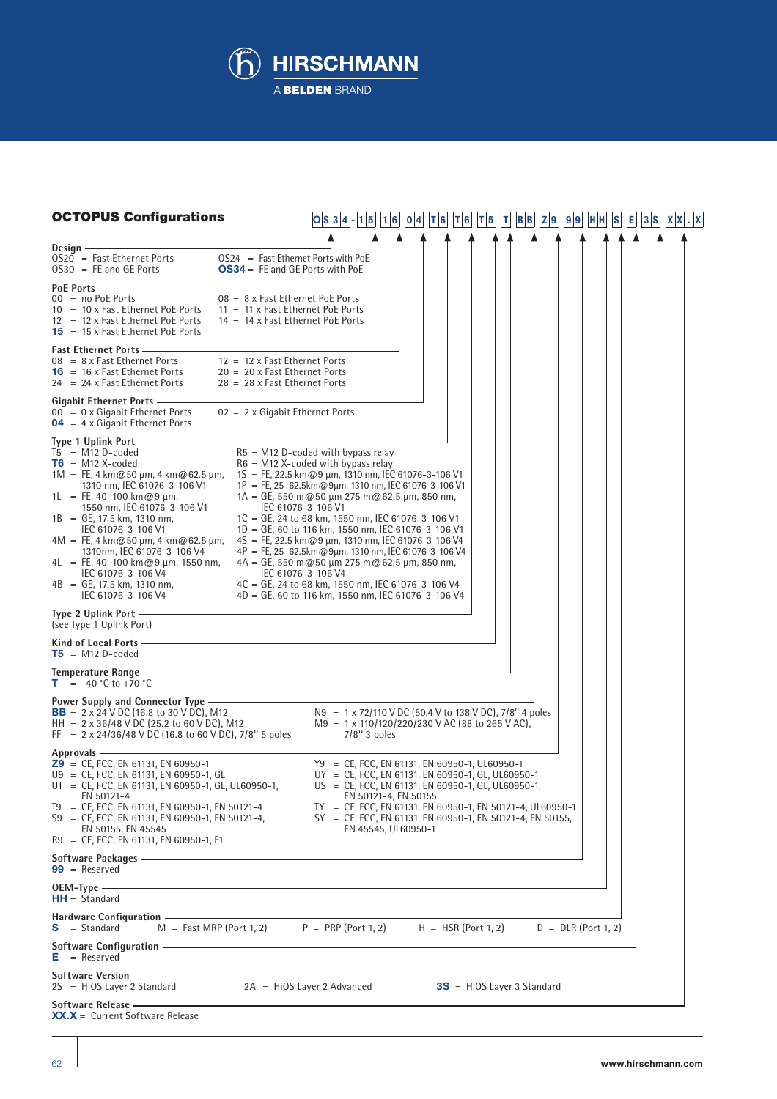

| <b>OCTOPUS Configurations</b>                                                                                                                                                                                                                                                                                                                                                                                                                                      | $ O S 3 4 - 1 5 $<br> 1 6                                                                                                                                                                                                                                                                                                                                                                                                                                                                                                                                                                                                                                                             | 0 4 | T 6 | T 6                          | T 5 | T | $B$ <sub>B</sub> | Z 9 | 9 9                   | H H | <b>S</b> | [E] | 3 S | X X | $\mathbf{X}$ |
|--------------------------------------------------------------------------------------------------------------------------------------------------------------------------------------------------------------------------------------------------------------------------------------------------------------------------------------------------------------------------------------------------------------------------------------------------------------------|---------------------------------------------------------------------------------------------------------------------------------------------------------------------------------------------------------------------------------------------------------------------------------------------------------------------------------------------------------------------------------------------------------------------------------------------------------------------------------------------------------------------------------------------------------------------------------------------------------------------------------------------------------------------------------------|-----|-----|------------------------------|-----|---|------------------|-----|-----------------------|-----|----------|-----|-----|-----|--------------|
|                                                                                                                                                                                                                                                                                                                                                                                                                                                                    |                                                                                                                                                                                                                                                                                                                                                                                                                                                                                                                                                                                                                                                                                       |     |     |                              |     |   |                  |     |                       |     |          |     |     |     |              |
| Design -<br>$OS24 = Fast Ethernet$ Ports with PoE<br>$OS20 = Fast Ethernet Ports$<br>$OS30 = FE$ and GE Ports<br><b>OS34</b> = FE and GE Ports with PoE                                                                                                                                                                                                                                                                                                            |                                                                                                                                                                                                                                                                                                                                                                                                                                                                                                                                                                                                                                                                                       |     |     |                              |     |   |                  |     |                       |     |          |     |     |     |              |
| PoE Ports-<br>00 = no PoE Ports<br>08 = 8 x Fast Ethernet PoE Ports<br>$10 = 10 \times$ Fast Ethernet PoE Ports<br>$11 = 11 \times$ Fast Ethernet PoE Ports<br>12 = 12 x Fast Ethernet PoE Ports<br>14 = 14 x Fast Ethernet PoE Ports<br>$15 = 15 \times$ Fast Ethernet PoE Ports                                                                                                                                                                                  |                                                                                                                                                                                                                                                                                                                                                                                                                                                                                                                                                                                                                                                                                       |     |     |                              |     |   |                  |     |                       |     |          |     |     |     |              |
| <b>Fast Ethernet Ports -</b><br>12 = 12 x Fast Ethernet Ports<br>$08 = 8 \times$ Fast Ethernet Ports<br>$16 = 16x$ Fast Ethernet Ports<br>20 = 20 x Fast Ethernet Ports<br>$24 = 24 \times$ Fast Ethernet Ports<br>$28 = 28 \times$ Fast Ethernet Ports                                                                                                                                                                                                            |                                                                                                                                                                                                                                                                                                                                                                                                                                                                                                                                                                                                                                                                                       |     |     |                              |     |   |                  |     |                       |     |          |     |     |     |              |
| Gigabit Ethernet Ports -<br>$00 = 0 \times$ Gigabit Ethernet Ports<br>$02 = 2 \times$ Gigabit Ethernet Ports<br>$04 = 4 \times$ Gigabit Ethernet Ports                                                                                                                                                                                                                                                                                                             |                                                                                                                                                                                                                                                                                                                                                                                                                                                                                                                                                                                                                                                                                       |     |     |                              |     |   |                  |     |                       |     |          |     |     |     |              |
| Type 1 Uplink Port -<br>$T5 = M12 D-coded$<br>$T6 = M12 X-coded$<br>1M = FE, 4 km@50 $\mu$ m, 4 km@62.5 $\mu$ m,<br>1310 nm, IEC 61076-3-106 V1<br>1L = FE, 40-100 km@9 $\mu$ m,<br>1550 nm, IEC 61076-3-106 V1<br>$1B = GE$ , 17.5 km, 1310 nm,<br>IEC 61076-3-106 V1<br>$4M = FE$ , 4 km@50 µm, 4 km@62.5 µm,<br>1310nm, IEC 61076-3-106 V4<br>$4L = FE$ , 40–100 km@9 µm, 1550 nm,<br>IEC 61076-3-106 V4<br>$4B = GE$ , 17.5 km, 1310 nm,<br>IEC 61076-3-106 V4 | $R5 = M12$ D-coded with bypass relay<br>$R6 = M12$ X-coded with bypass relay<br>$1S = FE$ , 22.5 km@9 µm, 1310 nm, IEC 61076-3-106 V1<br>$1P = FE$ , 25-62.5km@9µm, 1310 nm, IEC 61076-3-106 V1<br>$1A = GE$ , 550 m@50 µm 275 m@62.5 µm, 850 nm,<br>IEC 61076-3-106 V1<br>1C = GE, 24 to 68 km, 1550 nm, IEC 61076-3-106 V1<br>1D = GE, 60 to 116 km, 1550 nm, IEC 61076-3-106 V1<br>$4S = FE$ , 22.5 km@9 µm, 1310 nm, IEC 61076-3-106 V4<br>4P = FE, 25-62.5km@9μm, 1310 nm, IEC 61076-3-106 V4<br>$4A = GE$ , 550 m@50 µm 275 m@62,5 µm, 850 nm,<br>IEC 61076-3-106 V4<br>4C = GE, 24 to 68 km, 1550 nm, IEC 61076-3-106 V4<br>4D = GE, 60 to 116 km, 1550 nm, IEC 61076-3-106 V4 |     |     |                              |     |   |                  |     |                       |     |          |     |     |     |              |
| Type 2 Uplink Port -<br>(see Type 1 Uplink Port)                                                                                                                                                                                                                                                                                                                                                                                                                   |                                                                                                                                                                                                                                                                                                                                                                                                                                                                                                                                                                                                                                                                                       |     |     |                              |     |   |                  |     |                       |     |          |     |     |     |              |
| Kind of Local Ports -<br>$T5 = M12 D-coded$                                                                                                                                                                                                                                                                                                                                                                                                                        |                                                                                                                                                                                                                                                                                                                                                                                                                                                                                                                                                                                                                                                                                       |     |     |                              |     |   |                  |     |                       |     |          |     |     |     |              |
| the control of the control of the control of the control of the control of<br>Temperature Range -<br>$= -40 °C$ to $+70 °C$<br>т.                                                                                                                                                                                                                                                                                                                                  |                                                                                                                                                                                                                                                                                                                                                                                                                                                                                                                                                                                                                                                                                       |     |     |                              |     |   |                  |     |                       |     |          |     |     |     |              |
| Power Supply and Connector Type —<br><b>BB</b> = $2 \times 24$ V DC (16.8 to 30 V DC), M12<br>HH = $2 \times 36/48$ V DC (25.2 to 60 V DC), M12<br>FF = $2 \times 24/36/48$ V DC (16.8 to 60 V DC), 7/8" 5 poles                                                                                                                                                                                                                                                   | N9 = 1 x 72/110 V DC (50.4 V to 138 V DC), 7/8" 4 poles<br>$M9 = 1 \times 110/120/220/230$ V AC (88 to 265 V AC),<br>$7/8$ " 3 poles                                                                                                                                                                                                                                                                                                                                                                                                                                                                                                                                                  |     |     |                              |     |   |                  |     |                       |     |          |     |     |     |              |
| Approvals -<br>$29$ = CE, FCC, EN 61131, EN 60950-1<br>U9 = CE, FCC, EN 61131, EN 60950-1, GL<br>$UT = CE$ , FCC, EN 61131, EN 60950-1, GL, UL60950-1,<br>EN 50121-4<br>T9 = CE, FCC, EN 61131, EN 60950-1, EN 50121-4<br>$S9 = CE$ , FCC, EN 61131, EN 60950-1, EN 50121-4,<br>EN 50155, EN 45545<br>R9 = CE, FCC, EN 61131, EN 60950-1, E1                                                                                                                       | Y9 = CE, FCC, EN 61131, EN 60950-1, UL60950-1<br>UY = CE, FCC, EN 61131, EN 60950-1, GL, UL60950-1<br>US = CE, FCC, EN 61131, EN 60950-1, GL, UL60950-1,<br>EN 50121-4, EN 50155<br>TY = CE, FCC, EN 61131, EN 60950-1, EN 50121-4, UL60950-1<br>SY = CE, FCC, EN 61131, EN 60950-1, EN 50121-4, EN 50155,<br>EN 45545, UL60950-1                                                                                                                                                                                                                                                                                                                                                     |     |     |                              |     |   |                  |     |                       |     |          |     |     |     |              |
| Software Packages —<br>$99 =$ Reserved                                                                                                                                                                                                                                                                                                                                                                                                                             |                                                                                                                                                                                                                                                                                                                                                                                                                                                                                                                                                                                                                                                                                       |     |     |                              |     |   |                  |     |                       |     |          |     |     |     |              |
| OEM-Type -<br>$HH = Standard$                                                                                                                                                                                                                                                                                                                                                                                                                                      |                                                                                                                                                                                                                                                                                                                                                                                                                                                                                                                                                                                                                                                                                       |     |     |                              |     |   |                  |     |                       |     |          |     |     |     |              |
| Hardware Configuration —<br>$M = Fast MRP (Port 1, 2)$ $P = PRP (Port 1, 2)$<br>$S = Standard$                                                                                                                                                                                                                                                                                                                                                                     |                                                                                                                                                                                                                                                                                                                                                                                                                                                                                                                                                                                                                                                                                       |     |     | $H = HSR (Port 1, 2)$        |     |   |                  |     | $D = DLR (Port 1, 2)$ |     |          |     |     |     |              |
| Software Configuration - The Configuration<br>$E =$ Reserved                                                                                                                                                                                                                                                                                                                                                                                                       |                                                                                                                                                                                                                                                                                                                                                                                                                                                                                                                                                                                                                                                                                       |     |     |                              |     |   |                  |     |                       |     |          |     |     |     |              |
| Software Version -<br>$2S = HiOS Layer 2 Standard$                                                                                                                                                                                                                                                                                                                                                                                                                 | $2A = HiOS Layer 2 Advanced$                                                                                                                                                                                                                                                                                                                                                                                                                                                                                                                                                                                                                                                          |     |     | $3S$ = HiOS Layer 3 Standard |     |   |                  |     |                       |     |          |     |     |     |              |
| Software Release -<br>$XX.X =$ Current Software Release                                                                                                                                                                                                                                                                                                                                                                                                            |                                                                                                                                                                                                                                                                                                                                                                                                                                                                                                                                                                                                                                                                                       |     |     |                              |     |   |                  |     |                       |     |          |     |     |     |              |